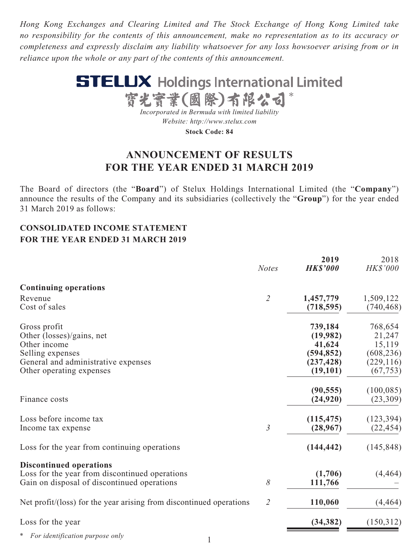*Hong Kong Exchanges and Clearing Limited and The Stock Exchange of Hong Kong Limited take no responsibility for the contents of this announcement, make no representation as to its accuracy or completeness and expressly disclaim any liability whatsoever for any loss howsoever arising from or in reliance upon the whole or any part of the contents of this announcement.*



**ANNOUNCEMENT OF RESULTS FOR THE YEAR ENDED 31 MARCH 2019**

The Board of directors (the "**Board**") of Stelux Holdings International Limited (the "**Company**") announce the results of the Company and its subsidiaries (collectively the "**Group**") for the year ended 31 March 2019 as follows:

## **CONSOLIDATED INCOME STATEMENT FOR THE YEAR ENDED 31 MARCH 2019**

|                                                                     | <b>Notes</b>                | 2019<br><b>HK\$'000</b> | 2018<br>HK\$'000 |
|---------------------------------------------------------------------|-----------------------------|-------------------------|------------------|
| <b>Continuing operations</b>                                        |                             |                         |                  |
| Revenue                                                             | $\mathcal{Z}_{\mathcal{C}}$ | 1,457,779               | 1,509,122        |
| Cost of sales                                                       |                             | (718, 595)              | (740, 468)       |
| Gross profit                                                        |                             | 739,184                 | 768,654          |
| Other (losses)/gains, net                                           |                             | (19,982)                | 21,247           |
| Other income                                                        |                             | 41,624                  | 15,119           |
| Selling expenses                                                    |                             | (594, 852)              | (608, 236)       |
| General and administrative expenses                                 |                             | (237, 428)              | (229, 116)       |
| Other operating expenses                                            |                             | (19,101)                | (67, 753)        |
|                                                                     |                             | (90, 555)               | (100, 085)       |
| Finance costs                                                       |                             | (24, 920)               | (23,309)         |
| Loss before income tax                                              |                             | (115, 475)              | (123, 394)       |
| Income tax expense                                                  | $\mathfrak{Z}$              | (28,967)                | (22, 454)        |
| Loss for the year from continuing operations                        |                             | (144, 442)              | (145, 848)       |
| <b>Discontinued operations</b>                                      |                             |                         |                  |
| Loss for the year from discontinued operations                      |                             | (1,706)                 | (4, 464)         |
| Gain on disposal of discontinued operations                         | 8                           | 111,766                 |                  |
| Net profit/(loss) for the year arising from discontinued operations | $\overline{2}$              | 110,060                 | (4, 464)         |
| Loss for the year                                                   |                             | (34, 382)               | (150,312)        |
| For identification purpose only                                     |                             |                         |                  |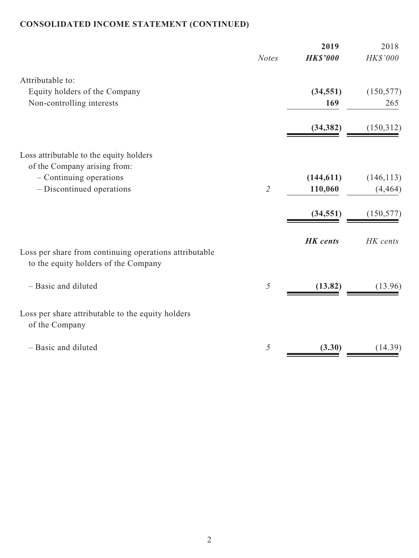# **CONSOLIDATED INCOME STATEMENT (CONTINUED)**

|                                                                                                | <b>Notes</b>                | 2019<br><b>HK\$'000</b> | 2018<br>$H K\$ '000$   |
|------------------------------------------------------------------------------------------------|-----------------------------|-------------------------|------------------------|
| Attributable to:                                                                               |                             |                         |                        |
| Equity holders of the Company<br>Non-controlling interests                                     |                             | (34, 551)<br>169        | (150, 577)<br>265      |
|                                                                                                |                             | (34, 382)               | (150,312)              |
| Loss attributable to the equity holders<br>of the Company arising from:                        |                             |                         |                        |
| $-$ Continuing operations<br>- Discontinued operations                                         | $\mathcal{L}_{\mathcal{L}}$ | (144, 611)<br>110,060   | (146, 113)<br>(4, 464) |
|                                                                                                |                             | (34, 551)               | (150, 577)             |
| Loss per share from continuing operations attributable<br>to the equity holders of the Company |                             | <b>HK</b> cents         | HK cents               |
| - Basic and diluted                                                                            | $\sqrt{2}$                  | (13.82)                 | (13.96)                |
| Loss per share attributable to the equity holders<br>of the Company                            |                             |                         |                        |
| - Basic and diluted                                                                            | 5                           | (3.30)                  | (14.39)                |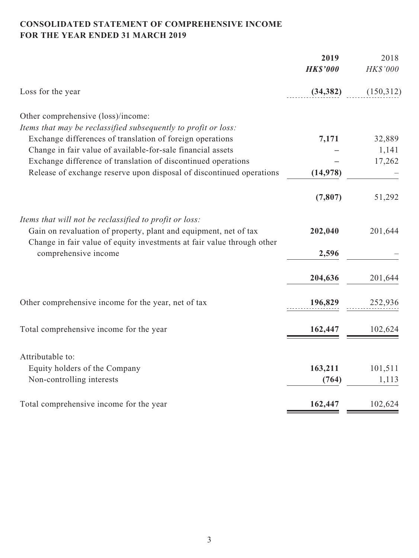# **CONSOLIDATED STATEMENT OF COMPREHENSIVE INCOME FOR THE YEAR ENDED 31 MARCH 2019**

|                                                                                                                                            | 2019<br><b>HK\$'000</b> | 2018<br>HK\$'000 |
|--------------------------------------------------------------------------------------------------------------------------------------------|-------------------------|------------------|
| Loss for the year                                                                                                                          | (34, 382)               | (150,312)        |
| Other comprehensive (loss)/income:                                                                                                         |                         |                  |
| Items that may be reclassified subsequently to profit or loss:                                                                             |                         |                  |
| Exchange differences of translation of foreign operations                                                                                  | 7,171                   | 32,889           |
| Change in fair value of available-for-sale financial assets                                                                                |                         | 1,141            |
| Exchange difference of translation of discontinued operations                                                                              |                         | 17,262           |
| Release of exchange reserve upon disposal of discontinued operations                                                                       | (14, 978)               |                  |
|                                                                                                                                            | (7, 807)                | 51,292           |
| Items that will not be reclassified to profit or loss:                                                                                     |                         |                  |
| Gain on revaluation of property, plant and equipment, net of tax<br>Change in fair value of equity investments at fair value through other | 202,040                 | 201,644          |
| comprehensive income                                                                                                                       | 2,596                   |                  |
|                                                                                                                                            | 204,636                 | 201,644          |
| Other comprehensive income for the year, net of tax                                                                                        | 196,829                 | 252,936          |
|                                                                                                                                            |                         |                  |
| Total comprehensive income for the year                                                                                                    | 162,447                 | 102,624          |
| Attributable to:                                                                                                                           |                         |                  |
| Equity holders of the Company                                                                                                              | 163,211                 | 101,511          |
| Non-controlling interests                                                                                                                  | (764)                   | 1,113            |
| Total comprehensive income for the year                                                                                                    | 162,447                 | 102,624          |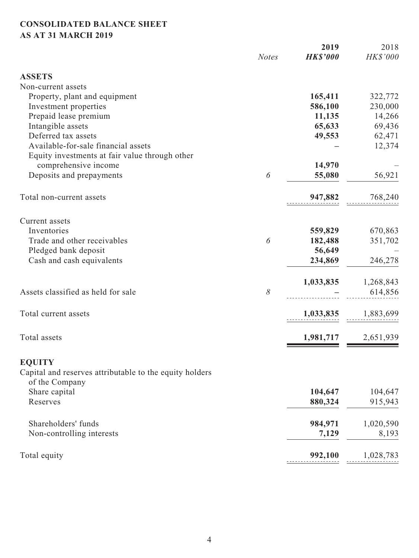# **CONSOLIDATED BALANCE SHEET AS AT 31 MARCH 2019**

|                                                                           | <b>Notes</b> | 2019<br><b>HK\$'000</b> | 2018<br>HK\$'000 |
|---------------------------------------------------------------------------|--------------|-------------------------|------------------|
|                                                                           |              |                         |                  |
| <b>ASSETS</b>                                                             |              |                         |                  |
| Non-current assets                                                        |              |                         |                  |
| Property, plant and equipment                                             |              | 165,411                 | 322,772          |
| Investment properties                                                     |              | 586,100                 | 230,000          |
| Prepaid lease premium                                                     |              | 11,135                  | 14,266           |
| Intangible assets                                                         |              | 65,633                  | 69,436           |
| Deferred tax assets                                                       |              | 49,553                  | 62,471           |
| Available-for-sale financial assets                                       |              |                         | 12,374           |
| Equity investments at fair value through other                            |              |                         |                  |
| comprehensive income                                                      |              | 14,970                  |                  |
| Deposits and prepayments                                                  | 6            | 55,080                  | 56,921           |
| Total non-current assets                                                  |              | 947,882                 | 768,240          |
| Current assets                                                            |              |                         |                  |
| Inventories                                                               |              | 559,829                 | 670,863          |
| Trade and other receivables                                               | 6            | 182,488                 | 351,702          |
| Pledged bank deposit                                                      |              | 56,649                  |                  |
| Cash and cash equivalents                                                 |              | 234,869                 | 246,278          |
|                                                                           |              | 1,033,835               | 1,268,843        |
| Assets classified as held for sale                                        | 8            |                         | 614,856          |
| Total current assets                                                      |              | 1,033,835               | 1,883,699        |
|                                                                           |              |                         |                  |
| Total assets                                                              |              | 1,981,717               | 2,651,939        |
| <b>EQUITY</b>                                                             |              |                         |                  |
| Capital and reserves attributable to the equity holders<br>of the Company |              |                         |                  |
| Share capital                                                             |              | 104,647                 | 104,647          |
| Reserves                                                                  |              | 880,324                 | 915,943          |
| Shareholders' funds                                                       |              | 984,971                 | 1,020,590        |
| Non-controlling interests                                                 |              | 7,129                   | 8,193            |
|                                                                           |              |                         |                  |
| Total equity                                                              |              | 992,100                 | 1,028,783        |
|                                                                           |              |                         |                  |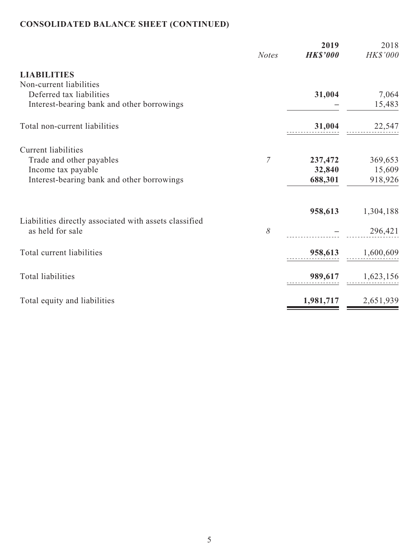# **CONSOLIDATED BALANCE SHEET (CONTINUED)**

|                                                        | <b>Notes</b> | 2019<br><b>HK\$'000</b> | 2018<br>HK\$'000 |
|--------------------------------------------------------|--------------|-------------------------|------------------|
| <b>LIABILITIES</b>                                     |              |                         |                  |
| Non-current liabilities                                |              |                         |                  |
| Deferred tax liabilities                               |              | 31,004                  | 7,064            |
| Interest-bearing bank and other borrowings             |              |                         | 15,483           |
| Total non-current liabilities                          |              | 31,004                  | 22,547           |
| <b>Current liabilities</b>                             |              |                         |                  |
| Trade and other payables                               | 7            | 237,472                 | 369,653          |
| Income tax payable                                     |              | 32,840                  | 15,609           |
| Interest-bearing bank and other borrowings             |              | 688,301                 | 918,926          |
|                                                        |              | 958,613                 | 1,304,188        |
| Liabilities directly associated with assets classified |              |                         |                  |
| as held for sale                                       | 8            |                         | 296,421          |
| Total current liabilities                              |              | 958,613                 | 1,600,609        |
| Total liabilities                                      |              |                         |                  |
|                                                        |              | 989,617                 | 1,623,156        |
| Total equity and liabilities                           |              | 1,981,717               | 2,651,939        |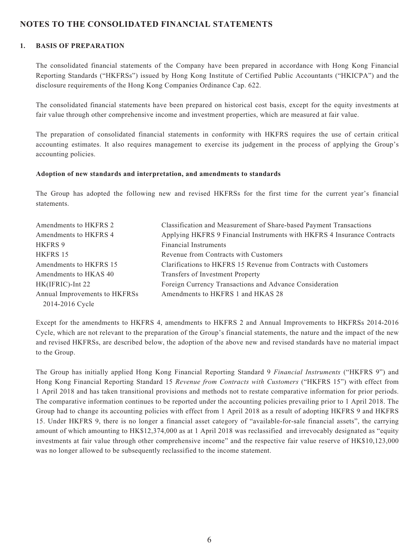### **NOTES TO THE CONSOLIDATED FINANCIAL STATEMENTS**

#### **1. BASIS OF PREPARATION**

The consolidated financial statements of the Company have been prepared in accordance with Hong Kong Financial Reporting Standards ("HKFRSs") issued by Hong Kong Institute of Certified Public Accountants ("HKICPA") and the disclosure requirements of the Hong Kong Companies Ordinance Cap. 622.

The consolidated financial statements have been prepared on historical cost basis, except for the equity investments at fair value through other comprehensive income and investment properties, which are measured at fair value.

The preparation of consolidated financial statements in conformity with HKFRS requires the use of certain critical accounting estimates. It also requires management to exercise its judgement in the process of applying the Group's accounting policies.

#### **Adoption of new standards and interpretation, and amendments to standards**

The Group has adopted the following new and revised HKFRSs for the first time for the current year's financial statements.

| Amendments to HKFRS 2         | Classification and Measurement of Share-based Payment Transactions      |
|-------------------------------|-------------------------------------------------------------------------|
| Amendments to HKFRS 4         | Applying HKFRS 9 Financial Instruments with HKFRS 4 Insurance Contracts |
| HKFRS 9                       | <b>Financial Instruments</b>                                            |
| HKFRS 15                      | Revenue from Contracts with Customers                                   |
| Amendments to HKFRS 15        | Clarifications to HKFRS 15 Revenue from Contracts with Customers        |
| Amendments to HKAS 40         | Transfers of Investment Property                                        |
| HK(IFRIC)-Int 22              | Foreign Currency Transactions and Advance Consideration                 |
| Annual Improvements to HKFRSs | Amendments to HKFRS 1 and HKAS 28                                       |
| 2014-2016 Cycle               |                                                                         |

Except for the amendments to HKFRS 4, amendments to HKFRS 2 and Annual Improvements to HKFRSs 2014-2016 Cycle, which are not relevant to the preparation of the Group's financial statements, the nature and the impact of the new and revised HKFRSs, are described below, the adoption of the above new and revised standards have no material impact to the Group.

The Group has initially applied Hong Kong Financial Reporting Standard 9 *Financial Instruments* ("HKFRS 9") and Hong Kong Financial Reporting Standard 15 *Revenue from Contracts with Customers* ("HKFRS 15") with effect from 1 April 2018 and has taken transitional provisions and methods not to restate comparative information for prior periods. The comparative information continues to be reported under the accounting policies prevailing prior to 1 April 2018. The Group had to change its accounting policies with effect from 1 April 2018 as a result of adopting HKFRS 9 and HKFRS 15. Under HKFRS 9, there is no longer a financial asset category of "available-for-sale financial assets", the carrying amount of which amounting to HK\$12,374,000 as at 1 April 2018 was reclassified and irrevocably designated as "equity investments at fair value through other comprehensive income" and the respective fair value reserve of HK\$10,123,000 was no longer allowed to be subsequently reclassified to the income statement.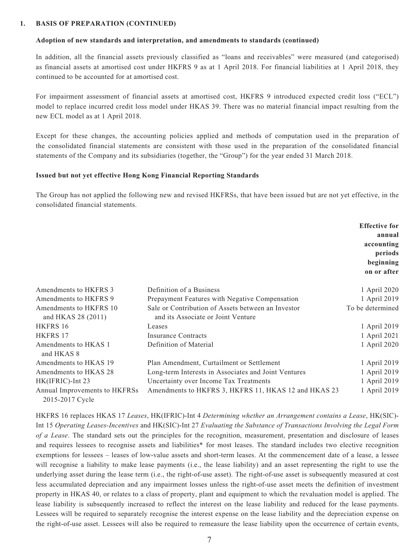#### **1. BASIS OF PREPARATION (CONTINUED)**

#### **Adoption of new standards and interpretation, and amendments to standards (continued)**

In addition, all the financial assets previously classified as "loans and receivables" were measured (and categorised) as financial assets at amortised cost under HKFRS 9 as at 1 April 2018. For financial liabilities at 1 April 2018, they continued to be accounted for at amortised cost.

For impairment assessment of financial assets at amortised cost, HKFRS 9 introduced expected credit loss ("ECL") model to replace incurred credit loss model under HKAS 39. There was no material financial impact resulting from the new ECL model as at 1 April 2018.

Except for these changes, the accounting policies applied and methods of computation used in the preparation of the consolidated financial statements are consistent with those used in the preparation of the consolidated financial statements of the Company and its subsidiaries (together, the "Group") for the year ended 31 March 2018.

#### **Issued but not yet effective Hong Kong Financial Reporting Standards**

The Group has not applied the following new and revised HKFRSs, that have been issued but are not yet effective, in the consolidated financial statements.

|                                                  |                                                                                          | <b>Effective for</b><br>annual<br>accounting<br>periods<br>beginning<br>on or after |
|--------------------------------------------------|------------------------------------------------------------------------------------------|-------------------------------------------------------------------------------------|
| Amendments to HKFRS 3                            | Definition of a Business                                                                 | 1 April 2020                                                                        |
| Amendments to HKFRS 9                            | Prepayment Features with Negative Compensation                                           | 1 April 2019                                                                        |
| Amendments to HKFRS 10<br>and HKAS 28 (2011)     | Sale or Contribution of Assets between an Investor<br>and its Associate or Joint Venture | To be determined                                                                    |
| HKFRS 16                                         | Leases                                                                                   | 1 April 2019                                                                        |
| HKFRS 17                                         | Insurance Contracts                                                                      | 1 April 2021                                                                        |
| Amendments to HKAS 1<br>and HKAS 8               | Definition of Material                                                                   | 1 April 2020                                                                        |
| Amendments to HKAS 19                            | Plan Amendment, Curtailment or Settlement                                                | 1 April 2019                                                                        |
| Amendments to HKAS 28                            | Long-term Interests in Associates and Joint Ventures                                     | 1 April 2019                                                                        |
| HK(IFRIC)-Int 23                                 | Uncertainty over Income Tax Treatments                                                   | 1 April 2019                                                                        |
| Annual Improvements to HKFRSs<br>2015-2017 Cycle | Amendments to HKFRS 3, HKFRS 11, HKAS 12 and HKAS 23                                     | 1 April 2019                                                                        |

HKFRS 16 replaces HKAS 17 *Leases*, HK(IFRIC)-Int 4 *Determining whether an Arrangement contains a Lease*, HK(SIC)- Int 15 *Operating Leases-Incentives* and HK(SIC)-Int 27 *Evaluating the Substance of Transactions Involving the Legal Form of a Lease*. The standard sets out the principles for the recognition, measurement, presentation and disclosure of leases and requires lessees to recognise assets and liabilities\* for most leases. The standard includes two elective recognition exemptions for lessees – leases of low-value assets and short-term leases. At the commencement date of a lease, a lessee will recognise a liability to make lease payments (i.e., the lease liability) and an asset representing the right to use the underlying asset during the lease term (i.e., the right-of-use asset). The right-of-use asset is subsequently measured at cost less accumulated depreciation and any impairment losses unless the right-of-use asset meets the definition of investment property in HKAS 40, or relates to a class of property, plant and equipment to which the revaluation model is applied. The lease liability is subsequently increased to reflect the interest on the lease liability and reduced for the lease payments. Lessees will be required to separately recognise the interest expense on the lease liability and the depreciation expense on the right-of-use asset. Lessees will also be required to remeasure the lease liability upon the occurrence of certain events,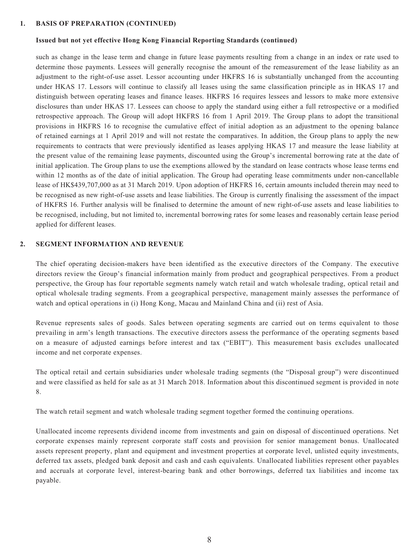#### **1. BASIS OF PREPARATION (CONTINUED)**

#### **Issued but not yet effective Hong Kong Financial Reporting Standards (continued)**

such as change in the lease term and change in future lease payments resulting from a change in an index or rate used to determine those payments. Lessees will generally recognise the amount of the remeasurement of the lease liability as an adjustment to the right-of-use asset. Lessor accounting under HKFRS 16 is substantially unchanged from the accounting under HKAS 17. Lessors will continue to classify all leases using the same classification principle as in HKAS 17 and distinguish between operating leases and finance leases. HKFRS 16 requires lessees and lessors to make more extensive disclosures than under HKAS 17. Lessees can choose to apply the standard using either a full retrospective or a modified retrospective approach. The Group will adopt HKFRS 16 from 1 April 2019. The Group plans to adopt the transitional provisions in HKFRS 16 to recognise the cumulative effect of initial adoption as an adjustment to the opening balance of retained earnings at 1 April 2019 and will not restate the comparatives. In addition, the Group plans to apply the new requirements to contracts that were previously identified as leases applying HKAS 17 and measure the lease liability at the present value of the remaining lease payments, discounted using the Group's incremental borrowing rate at the date of initial application. The Group plans to use the exemptions allowed by the standard on lease contracts whose lease terms end within 12 months as of the date of initial application. The Group had operating lease commitments under non-cancellable lease of HK\$439,707,000 as at 31 March 2019. Upon adoption of HKFRS 16, certain amounts included therein may need to be recognised as new right-of-use assets and lease liabilities. The Group is currently finalising the assessment of the impact of HKFRS 16. Further analysis will be finalised to determine the amount of new right-of-use assets and lease liabilities to be recognised, including, but not limited to, incremental borrowing rates for some leases and reasonably certain lease period applied for different leases.

#### **2. SEGMENT INFORMATION AND REVENUE**

The chief operating decision-makers have been identified as the executive directors of the Company. The executive directors review the Group's financial information mainly from product and geographical perspectives. From a product perspective, the Group has four reportable segments namely watch retail and watch wholesale trading, optical retail and optical wholesale trading segments. From a geographical perspective, management mainly assesses the performance of watch and optical operations in (i) Hong Kong, Macau and Mainland China and (ii) rest of Asia.

Revenue represents sales of goods. Sales between operating segments are carried out on terms equivalent to those prevailing in arm's length transactions. The executive directors assess the performance of the operating segments based on a measure of adjusted earnings before interest and tax ("EBIT"). This measurement basis excludes unallocated income and net corporate expenses.

The optical retail and certain subsidiaries under wholesale trading segments (the "Disposal group") were discontinued and were classified as held for sale as at 31 March 2018. Information about this discontinued segment is provided in note 8.

The watch retail segment and watch wholesale trading segment together formed the continuing operations.

Unallocated income represents dividend income from investments and gain on disposal of discontinued operations. Net corporate expenses mainly represent corporate staff costs and provision for senior management bonus. Unallocated assets represent property, plant and equipment and investment properties at corporate level, unlisted equity investments, deferred tax assets, pledged bank deposit and cash and cash equivalents. Unallocated liabilities represent other payables and accruals at corporate level, interest-bearing bank and other borrowings, deferred tax liabilities and income tax payable.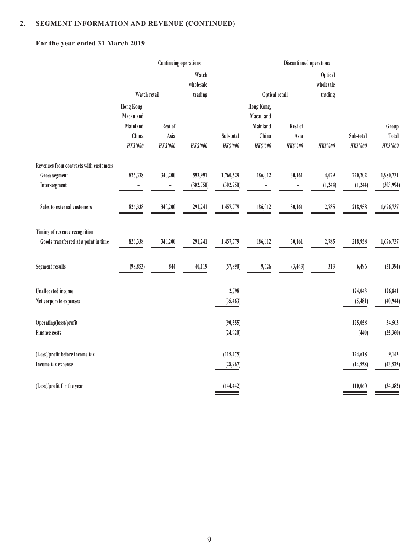## **For the year ended 31 March 2019**

|                                                                       | <b>Continuing operations</b>                                    |                                    |                               |                              |                                                                 |                                    |                                 |                              |                                   |
|-----------------------------------------------------------------------|-----------------------------------------------------------------|------------------------------------|-------------------------------|------------------------------|-----------------------------------------------------------------|------------------------------------|---------------------------------|------------------------------|-----------------------------------|
|                                                                       | Watch retail                                                    |                                    | Watch<br>wholesale<br>trading |                              | Optical retail                                                  |                                    | Optical<br>wholesale<br>trading |                              |                                   |
|                                                                       | Hong Kong,<br>Macau and<br>Mainland<br>China<br><b>HK\$'000</b> | Rest of<br>Asia<br><b>HK\$'000</b> | <b>HK\$'000</b>               | Sub-total<br><b>HK\$'000</b> | Hong Kong,<br>Macau and<br>Mainland<br>China<br><b>HK\$'000</b> | Rest of<br>Asia<br><b>HK\$'000</b> | <b>HK\$'000</b>                 | Sub-total<br><b>HK\$'000</b> | Group<br>Total<br><b>HK\$'000</b> |
| Revenues from contracts with customers                                |                                                                 |                                    |                               |                              |                                                                 |                                    |                                 |                              |                                   |
| Gross segment<br>Inter-segment                                        | 826,338                                                         | 340,200<br>$\qquad \qquad -$       | 593,991<br>(302, 750)         | 1,760,529<br>(302, 750)      | 186,012<br>$\overline{\phantom{0}}$                             | 30,161<br>$\overline{\phantom{0}}$ | 4,029<br>(1, 244)               | 220,202<br>(1, 244)          | 1,980,731<br>(303, 994)           |
| Sales to external customers                                           | 826,338                                                         | 340,200                            | 291,241                       | 1,457,779                    | 186,012                                                         | 30,161                             | 2,785                           | 218,958                      | 1,676,737                         |
| Timing of revenue recognition<br>Goods transferred at a point in time | 826,338                                                         | 340,200                            | 291,241                       | 1,457,779                    | 186,012                                                         | 30,161                             | 2,785                           | 218,958                      | 1,676,737                         |
| <b>Segment results</b>                                                | (98, 853)                                                       | 844                                | 40,119                        | (57, 890)                    | 9,626                                                           | (3, 443)                           | 313                             | 6,496                        | (51, 394)                         |
| <b>Unallocated</b> income<br>Net corporate expenses                   |                                                                 |                                    |                               | 2,798<br>(35, 463)           |                                                                 |                                    |                                 | 124,043<br>(5,481)           | 126,841<br>(40, 944)              |
| Operating(loss)/profit<br><b>Finance costs</b>                        |                                                                 |                                    |                               | (90, 555)<br>(24,920)        |                                                                 |                                    |                                 | 125,058<br>(440)             | 34,503<br>(25, 360)               |
| (Loss)/profit before income tax<br>Income tax expense                 |                                                                 |                                    |                               | (115, 475)<br>(28,967)       |                                                                 |                                    |                                 | 124,618<br>(14, 558)         | 9,143<br>(43, 525)                |
| (Loss)/profit for the year                                            |                                                                 |                                    |                               | (144, 442)                   |                                                                 |                                    |                                 | 110,060                      | (34, 382)                         |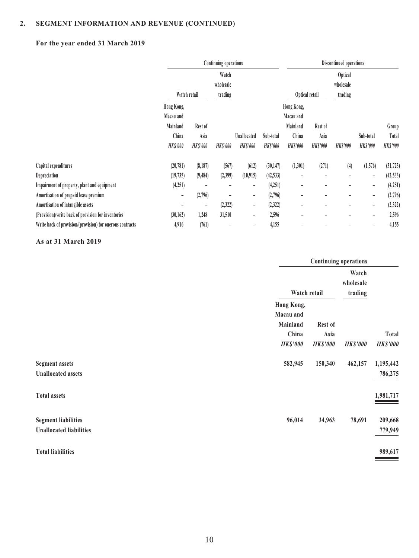## **For the year ended 31 March 2019**

|                                                           | <b>Continuing operations</b> |                |                 |                 |                 | Discontinued operations  |                          |                 |                   |                 |
|-----------------------------------------------------------|------------------------------|----------------|-----------------|-----------------|-----------------|--------------------------|--------------------------|-----------------|-------------------|-----------------|
|                                                           |                              |                | Watch           |                 |                 | <b>Optical</b>           |                          |                 |                   |                 |
|                                                           |                              |                | wholesale       |                 |                 |                          |                          | wholesale       |                   |                 |
|                                                           | Watch retail                 |                | trading         |                 |                 | Optical retail           |                          | trading         |                   |                 |
|                                                           | Hong Kong,                   |                |                 |                 |                 | Hong Kong,               |                          |                 |                   |                 |
|                                                           | Macau and                    |                |                 |                 |                 | Macau and                |                          |                 |                   |                 |
|                                                           | Mainland                     | Rest of        |                 |                 |                 | Mainland                 | Rest of                  |                 |                   | Group           |
|                                                           | China                        | Asia           |                 | Unallocated     | Sub-total       | China                    | Asia                     |                 | Sub-total         | Total           |
|                                                           | <b>HK\$'000</b>              | <b>HKS'000</b> | <b>HK\$'000</b> | <b>HK\$'000</b> | <b>HK\$'000</b> | <b>HKS'000</b>           | <b>HK\$'000</b>          | <b>HK\$'000</b> | <b>HK\$'000</b>   | <b>HK\$'000</b> |
| Capital expenditures                                      | (20, 781)                    | (8,187)        | (567)           | (612)           | (30, 147)       | (1,301)                  | (271)                    | (4)             | (1,576)           | (31, 723)       |
| Depreciation                                              | (19, 735)                    | (9, 484)       | (2,399)         | (10, 915)       | (42, 533)       | -                        | $\overline{\phantom{0}}$ | -               | -                 | (42, 533)       |
| Impairment of property, plant and equipment               | (4,251)                      | ۰              |                 | -               | (4,251)         | $\overline{\phantom{a}}$ |                          | -               | $\qquad \qquad -$ | (4,251)         |
| Amortisation of prepaid lease premium                     | -                            | (2,796)        |                 | -               | (2,796)         | $\qquad \qquad -$        |                          | -               | $\qquad \qquad -$ | (2,796)         |
| Amortisation of intangible assets                         |                              | -              | (2,322)         | -               | (2, 322)        | -                        |                          | ۰               | $\qquad \qquad -$ | (2, 322)        |
| (Provision)/write back of provision for inventories       | (30, 162)                    | 1,248          | 31,510          | -               | 2,596           |                          |                          | ۰               | ۰                 | 2,596           |
| Write back of provision/(provision) for onerous contracts | 4,916                        | (761)          |                 |                 | 4,155           |                          |                          |                 |                   | 4,155           |

#### **As at 31 March 2019**

|                                                              |                                              | <b>Continuing operations</b> |                               |                      |  |  |
|--------------------------------------------------------------|----------------------------------------------|------------------------------|-------------------------------|----------------------|--|--|
|                                                              | Watch retail                                 |                              | Watch<br>wholesale<br>trading |                      |  |  |
|                                                              | Hong Kong,<br>Macau and<br>Mainland<br>China | Rest of<br>Asia              |                               | Total                |  |  |
|                                                              | <b>HK\$'000</b>                              | <b>HK\$'000</b>              | <b>HK\$'000</b>               | <b>HK\$'000</b>      |  |  |
| <b>Segment assets</b><br><b>Unallocated assets</b>           | 582,945                                      | 150,340                      | 462,157                       | 1,195,442<br>786,275 |  |  |
| <b>Total assets</b>                                          |                                              |                              |                               | 1,981,717            |  |  |
| <b>Segment liabilities</b><br><b>Unallocated liabilities</b> | 96,014                                       | 34,963                       | 78,691                        | 209,668<br>779,949   |  |  |
| <b>Total liabilities</b>                                     |                                              |                              |                               | 989,617              |  |  |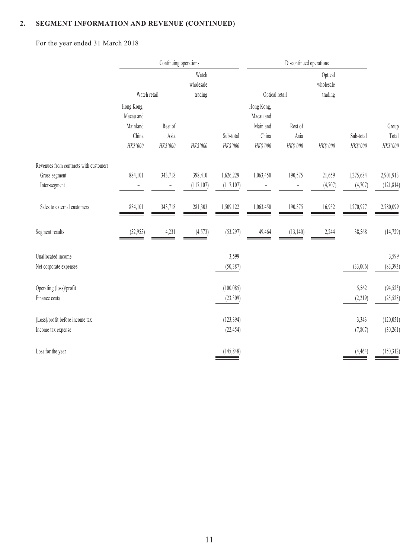For the year ended 31 March 2018

|                                                                          | Continuing operations                                    |                                     |                               |                         |                                                            |                             |                                 |                                      |                                |
|--------------------------------------------------------------------------|----------------------------------------------------------|-------------------------------------|-------------------------------|-------------------------|------------------------------------------------------------|-----------------------------|---------------------------------|--------------------------------------|--------------------------------|
|                                                                          | Watch retail                                             |                                     | Watch<br>wholesale<br>trading |                         | Optical retail                                             |                             | Optical<br>wholesale<br>trading |                                      |                                |
|                                                                          | Hong Kong,<br>Macau and<br>Mainland<br>China<br>HK\$'000 | Rest of<br>Asia<br>HK\$'000         | HK\$'000                      | Sub-total<br>HK\$'000   | Hong Kong,<br>Macau and<br>Mainland<br>China<br>$HK\$ '000 | Rest of<br>Asia<br>HK\$'000 | HK\$'000                        | Sub-total<br>HK\$'000                | Group<br>Total<br>$H K\$ '000$ |
| Revenues from contracts with customers<br>Gross segment<br>Inter-segment | 884,101                                                  | 343,718<br>$\overline{\phantom{0}}$ | 398,410<br>(117, 107)         | 1,626,229<br>(117, 107) | 1,063,450                                                  | 190,575                     | 21,659<br>(4,707)               | 1,275,684<br>(4,707)                 | 2,901,913<br>(121, 814)        |
| Sales to external customers                                              | 884,101                                                  | 343,718                             | 281,303                       | 1,509,122               | 1,063,450                                                  | 190,575                     | 16,952                          | 1,270,977                            | 2,780,099                      |
| Segment results                                                          | (52, 955)                                                | 4,231                               | (4, 573)                      | (53, 297)               | 49,464                                                     | (13, 140)                   | 2,244                           | 38,568                               | (14, 729)                      |
| Unallocated income<br>Net corporate expenses                             |                                                          |                                     |                               | 3,599<br>(50, 387)      |                                                            |                             |                                 | $\overline{\phantom{0}}$<br>(33,006) | 3,599<br>(83, 393)             |
| Operating (loss)/profit<br>Finance costs                                 |                                                          |                                     |                               | (100, 085)<br>(23,309)  |                                                            |                             |                                 | 5,562<br>(2,219)                     | (94, 523)<br>(25, 528)         |
| (Loss)/profit before income tax<br>Income tax expense                    |                                                          |                                     |                               | (123, 394)<br>(22, 454) |                                                            |                             |                                 | 3,343<br>(7, 807)                    | (120, 051)<br>(30, 261)        |
| Loss for the year                                                        |                                                          |                                     |                               | (145, 848)              |                                                            |                             |                                 | (4, 464)                             | (150,312)                      |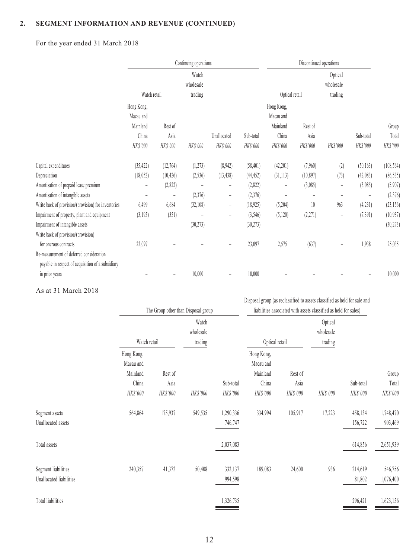For the year ended 31 March 2018

|                                                                                                                        | Continuing operations                                    |                             |                               |                         |                       | Discontinued operations                                  |                                 |                          |                          |                            |
|------------------------------------------------------------------------------------------------------------------------|----------------------------------------------------------|-----------------------------|-------------------------------|-------------------------|-----------------------|----------------------------------------------------------|---------------------------------|--------------------------|--------------------------|----------------------------|
|                                                                                                                        | Watch retail                                             |                             | Watch<br>wholesale<br>trading |                         | Optical retail        |                                                          | Optical<br>wholesale<br>trading |                          |                          |                            |
|                                                                                                                        | Hong Kong,<br>Macau and<br>Mainland<br>China<br>HK\$'000 | Rest of<br>Asia<br>HK\$'000 | HK\$'000                      | Unallocated<br>HK\$'000 | Sub-total<br>HK\$'000 | Hong Kong,<br>Macau and<br>Mainland<br>China<br>HK\$'000 | Rest of<br>Asia<br>HK\$'000     | HK\$'000                 | Sub-total<br>HK\$'000    | Group<br>Total<br>HK\$'000 |
| Capital expenditures                                                                                                   | (35, 422)                                                | (12,764)                    | (1,273)                       | (8,942)                 | (58, 401)             | (42,201)                                                 | (7,960)                         | (2)                      | (50, 163)                | (108, 564)                 |
| Depreciation                                                                                                           | (18,052)                                                 | (10, 426)                   | (2, 536)                      | (13, 438)               | (44, 452)             | (31, 113)                                                | (10, 897)                       | (73)                     | (42,083)                 | (86, 535)                  |
| Amortisation of prepaid lease premium                                                                                  | $\equiv$                                                 | (2,822)                     |                               | $\qquad \qquad -$       | (2,822)               | $\qquad \qquad -$                                        | (3,085)                         | $\qquad \qquad -$        | (3,085)                  | (5,907)                    |
| Amortisation of intangible assets                                                                                      |                                                          |                             | (2,376)                       | $\qquad \qquad -$       | (2,376)               |                                                          |                                 |                          | $\overline{\phantom{a}}$ | (2,376)                    |
| Write back of provision/(provision) for inventories                                                                    | 6,499                                                    | 6,684                       | (32,108)                      | $\qquad \qquad -$       | (18, 925)             | (5,204)                                                  | 10                              | 963                      | (4, 231)                 | (23, 156)                  |
| Impairment of property, plant and equipment                                                                            | (3,195)                                                  | (351)                       |                               | $\qquad \qquad -$       | (3, 546)              | (5,120)                                                  | (2,271)                         | $\overline{\phantom{a}}$ | (7, 391)                 | (10, 937)                  |
| Impairment of intangible assets<br>Write back of provision/(provision)                                                 |                                                          | $\overline{\phantom{0}}$    | (30,273)                      | $\qquad \qquad -$       | (30, 273)             |                                                          |                                 |                          | L.                       | (30, 273)                  |
| for onerous contracts<br>Re-measurement of deferred consideration<br>payable in respect of acquisition of a subsidiary | 23,097                                                   |                             |                               |                         | 23,097                | 2,575                                                    | (637)                           |                          | 1,938                    | 25,035                     |
| in prior years                                                                                                         |                                                          |                             | 10,000                        |                         | 10,000                |                                                          |                                 |                          |                          | 10,000                     |

As at 31 March 2018

|                          | The Group other than Disposal group |          |                               | Disposal group (as reclassified to assets classified as held for sale and<br>liabilities associated with assets classified as held for sales) |                         |          |                                 |           |           |
|--------------------------|-------------------------------------|----------|-------------------------------|-----------------------------------------------------------------------------------------------------------------------------------------------|-------------------------|----------|---------------------------------|-----------|-----------|
|                          | Watch retail                        |          | Watch<br>wholesale<br>trading |                                                                                                                                               | Optical retail          |          | Optical<br>wholesale<br>trading |           |           |
|                          | Hong Kong,<br>Macau and             |          |                               |                                                                                                                                               | Hong Kong,<br>Macau and |          |                                 |           |           |
|                          | Mainland                            | Rest of  |                               |                                                                                                                                               | Mainland                | Rest of  |                                 |           | Group     |
|                          | China                               | Asia     |                               | Sub-total                                                                                                                                     | China                   | Asia     |                                 | Sub-total | Total     |
|                          | HK\$'000                            | HK\$'000 | HK\$'000                      | HK\$'000                                                                                                                                      | HK\$'000                | HK\$'000 | HK\$'000                        | HK\$'000  | HK\$'000  |
| Segment assets           | 564,864                             | 175,937  | 549,535                       | 1,290,336                                                                                                                                     | 334,994                 | 105,917  | 17,223                          | 458,134   | 1,748,470 |
| Unallocated assets       |                                     |          |                               | 746,747                                                                                                                                       |                         |          |                                 | 156,722   | 903,469   |
| Total assets             |                                     |          |                               | 2,037,083                                                                                                                                     |                         |          |                                 | 614,856   | 2,651,939 |
| Segment liabilities      | 240,357                             | 41,372   | 50,408                        | 332,137                                                                                                                                       | 189,083                 | 24,600   | 936                             | 214,619   | 546,756   |
| Unallocated liabilities  |                                     |          |                               | 994,598                                                                                                                                       |                         |          |                                 | 81,802    | 1,076,400 |
| <b>Total liabilities</b> |                                     |          |                               | 1,326,735                                                                                                                                     |                         |          |                                 | 296,421   | 1,623,156 |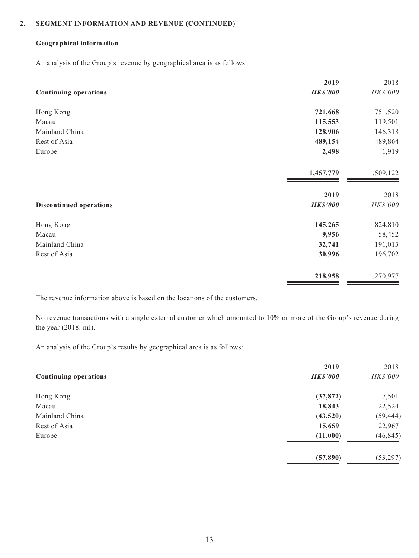#### **Geographical information**

An analysis of the Group's revenue by geographical area is as follows:

|                                | 2019            | 2018      |
|--------------------------------|-----------------|-----------|
| <b>Continuing operations</b>   | <b>HK\$'000</b> | HK\$'000  |
| Hong Kong                      | 721,668         | 751,520   |
| Macau                          | 115,553         | 119,501   |
| Mainland China                 | 128,906         | 146,318   |
| Rest of Asia                   | 489,154         | 489,864   |
| Europe                         | 2,498           | 1,919     |
|                                | 1,457,779       | 1,509,122 |
|                                | 2019            | 2018      |
| <b>Discontinued operations</b> | <b>HK\$'000</b> | HK\$'000  |
| Hong Kong                      | 145,265         | 824,810   |
| Macau                          | 9,956           | 58,452    |
| Mainland China                 | 32,741          | 191,013   |
| Rest of Asia                   | 30,996          | 196,702   |
|                                | 218,958         | 1,270,977 |
|                                |                 |           |

The revenue information above is based on the locations of the customers.

No revenue transactions with a single external customer which amounted to 10% or more of the Group's revenue during the year (2018: nil).

An analysis of the Group's results by geographical area is as follows:

|                              | 2019            | 2018      |
|------------------------------|-----------------|-----------|
| <b>Continuing operations</b> | <b>HK\$'000</b> | HK\$'000  |
| Hong Kong                    | (37, 872)       | 7,501     |
| Macau                        | 18,843          | 22,524    |
| Mainland China               | (43,520)        | (59, 444) |
| Rest of Asia                 | 15,659          | 22,967    |
| Europe                       | (11,000)        | (46, 845) |
|                              | (57, 890)       | (53, 297) |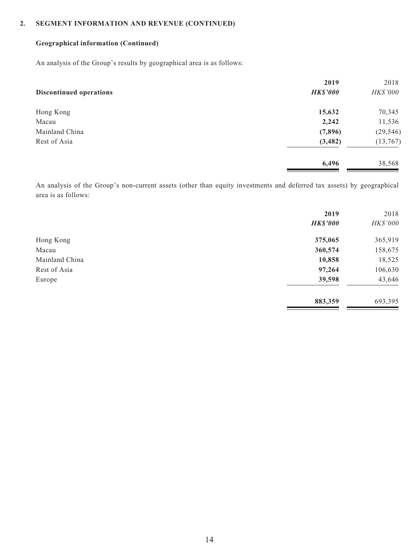### **Geographical information (Continued)**

An analysis of the Group's results by geographical area is as follows:

|                                | 2019            | 2018      |
|--------------------------------|-----------------|-----------|
| <b>Discontinued operations</b> | <b>HK\$'000</b> | HK\$'000  |
| Hong Kong                      | 15,632          | 70,345    |
| Macau                          | 2,242           | 11,536    |
| Mainland China                 | (7,896)         | (29, 546) |
| Rest of Asia                   | (3, 482)        | (13, 767) |
|                                | 6,496           | 38,568    |

An analysis of the Group's non-current assets (other than equity investments and deferred tax assets) by geographical area is as follows:

|                | 2019            | 2018     |
|----------------|-----------------|----------|
|                | <b>HK\$'000</b> | HK\$'000 |
| Hong Kong      | 375,065         | 365,919  |
| Macau          | 360,574         | 158,675  |
| Mainland China | 10,858          | 18,525   |
| Rest of Asia   | 97,264          | 106,630  |
| Europe         | 39,598          | 43,646   |
|                | 883,359         | 693,395  |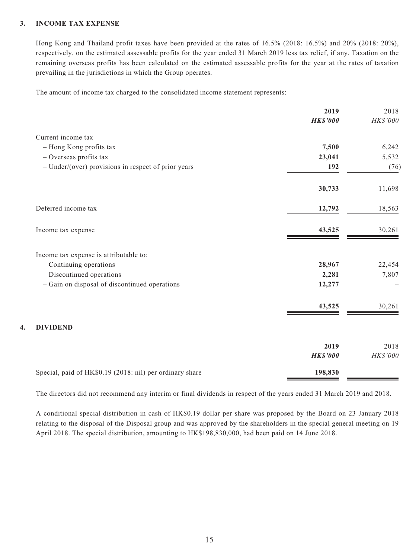### **3. INCOME TAX EXPENSE**

Hong Kong and Thailand profit taxes have been provided at the rates of 16.5% (2018: 16.5%) and 20% (2018: 20%), respectively, on the estimated assessable profits for the year ended 31 March 2019 less tax relief, if any. Taxation on the remaining overseas profits has been calculated on the estimated assessable profits for the year at the rates of taxation prevailing in the jurisdictions in which the Group operates.

The amount of income tax charged to the consolidated income statement represents:

|                                                          | 2019            | 2018     |
|----------------------------------------------------------|-----------------|----------|
|                                                          | <b>HK\$'000</b> | HK\$'000 |
| Current income tax                                       |                 |          |
| - Hong Kong profits tax                                  | 7,500           | 6,242    |
| - Overseas profits tax                                   | 23,041          | 5,532    |
| - Under/(over) provisions in respect of prior years      | 192             | (76)     |
|                                                          | 30,733          | 11,698   |
| Deferred income tax                                      | 12,792          | 18,563   |
| Income tax expense                                       | 43,525          | 30,261   |
| Income tax expense is attributable to:                   |                 |          |
| - Continuing operations                                  | 28,967          | 22,454   |
| - Discontinued operations                                | 2,281           | 7,807    |
| - Gain on disposal of discontinued operations            | 12,277          |          |
|                                                          | 43,525          | 30,261   |
| <b>DIVIDEND</b><br>4.                                    |                 |          |
|                                                          | 2019            | 2018     |
|                                                          | <b>HK\$'000</b> | HK\$'000 |
| Special, paid of HK\$0.19 (2018: nil) per ordinary share | 198,830         |          |

The directors did not recommend any interim or final dividends in respect of the years ended 31 March 2019 and 2018.

A conditional special distribution in cash of HK\$0.19 dollar per share was proposed by the Board on 23 January 2018 relating to the disposal of the Disposal group and was approved by the shareholders in the special general meeting on 19 April 2018. The special distribution, amounting to HK\$198,830,000, had been paid on 14 June 2018.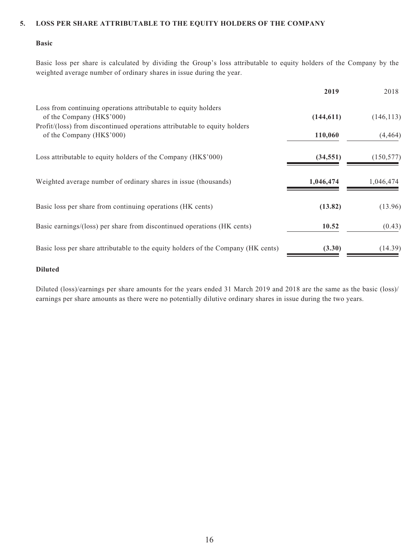#### **5. LOSS PER SHARE ATTRIBUTABLE TO THE EQUITY HOLDERS OF THE COMPANY**

#### **Basic**

Basic loss per share is calculated by dividing the Group's loss attributable to equity holders of the Company by the weighted average number of ordinary shares in issue during the year.

|                                                                                                        | 2019       | 2018       |
|--------------------------------------------------------------------------------------------------------|------------|------------|
| Loss from continuing operations attributable to equity holders<br>of the Company (HK\$'000)            | (144, 611) | (146, 113) |
| Profit/(loss) from discontinued operations attributable to equity holders<br>of the Company (HK\$'000) | 110,060    | (4, 464)   |
| Loss attributable to equity holders of the Company (HK\$'000)                                          | (34, 551)  | (150, 577) |
| Weighted average number of ordinary shares in issue (thousands)                                        | 1,046,474  | 1,046,474  |
| Basic loss per share from continuing operations (HK cents)                                             | (13.82)    | (13.96)    |
| Basic earnings/(loss) per share from discontinued operations (HK cents)                                | 10.52      | (0.43)     |
| Basic loss per share attributable to the equity holders of the Company (HK cents)                      | (3.30)     | (14.39)    |

#### **Diluted**

Diluted (loss)/earnings per share amounts for the years ended 31 March 2019 and 2018 are the same as the basic (loss)/ earnings per share amounts as there were no potentially dilutive ordinary shares in issue during the two years.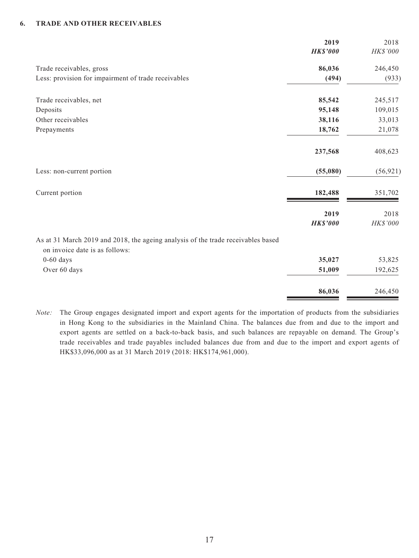### **6. TRADE AND OTHER RECEIVABLES**

|                                                                                                                    | 2019<br><b>HK\$'000</b> | 2018<br>HK\$'000 |
|--------------------------------------------------------------------------------------------------------------------|-------------------------|------------------|
| Trade receivables, gross                                                                                           | 86,036                  | 246,450          |
| Less: provision for impairment of trade receivables                                                                | (494)                   | (933)            |
| Trade receivables, net                                                                                             | 85,542                  | 245,517          |
| Deposits                                                                                                           | 95,148                  | 109,015          |
| Other receivables                                                                                                  | 38,116                  | 33,013           |
| Prepayments                                                                                                        | 18,762                  | 21,078           |
|                                                                                                                    | 237,568                 | 408,623          |
| Less: non-current portion                                                                                          | (55,080)                | (56, 921)        |
| Current portion                                                                                                    | 182,488                 | 351,702          |
|                                                                                                                    | 2019                    | 2018             |
|                                                                                                                    | <b>HK\$'000</b>         | HK\$'000         |
| As at 31 March 2019 and 2018, the ageing analysis of the trade receivables based<br>on invoice date is as follows: |                         |                  |
| $0-60$ days                                                                                                        | 35,027                  | 53,825           |
| Over 60 days                                                                                                       | 51,009                  | 192,625          |
|                                                                                                                    | 86,036                  | 246,450          |

*Note:* The Group engages designated import and export agents for the importation of products from the subsidiaries in Hong Kong to the subsidiaries in the Mainland China. The balances due from and due to the import and export agents are settled on a back-to-back basis, and such balances are repayable on demand. The Group's trade receivables and trade payables included balances due from and due to the import and export agents of HK\$33,096,000 as at 31 March 2019 (2018: HK\$174,961,000).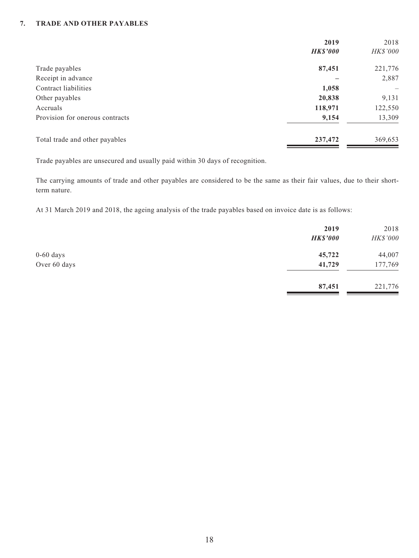### **7. TRADE AND OTHER PAYABLES**

|                                 | 2019            | 2018            |
|---------------------------------|-----------------|-----------------|
|                                 | <b>HK\$'000</b> | <b>HK\$'000</b> |
| Trade payables                  | 87,451          | 221,776         |
| Receipt in advance              |                 | 2,887           |
| Contract liabilities            | 1,058           |                 |
| Other payables                  | 20,838          | 9,131           |
| Accruals                        | 118,971         | 122,550         |
| Provision for onerous contracts | 9,154           | 13,309          |
| Total trade and other payables  | 237,472         | 369,653         |

Trade payables are unsecured and usually paid within 30 days of recognition.

The carrying amounts of trade and other payables are considered to be the same as their fair values, due to their shortterm nature.

At 31 March 2019 and 2018, the ageing analysis of the trade payables based on invoice date is as follows:

|              | 2019            | 2018     |
|--------------|-----------------|----------|
|              | <b>HK\$'000</b> | HK\$'000 |
| $0-60$ days  | 45,722          | 44,007   |
| Over 60 days | 41,729          | 177,769  |
|              | 87,451          | 221,776  |
|              |                 |          |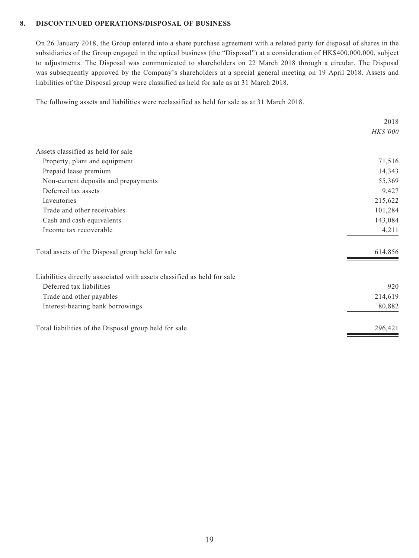### **8. DISCONTINUED OPERATIONS/DISPOSAL OF BUSINESS**

On 26 January 2018, the Group entered into a share purchase agreement with a related party for disposal of shares in the subsidiaries of the Group engaged in the optical business (the "Disposal") at a consideration of HK\$400,000,000, subject to adjustments. The Disposal was communicated to shareholders on 22 March 2018 through a circular. The Disposal was subsequently approved by the Company's shareholders at a special general meeting on 19 April 2018. Assets and liabilities of the Disposal group were classified as held for sale as at 31 March 2018.

The following assets and liabilities were reclassified as held for sale as at 31 March 2018.

|                                                                         | 2018     |
|-------------------------------------------------------------------------|----------|
|                                                                         | HK\$'000 |
| Assets classified as held for sale                                      |          |
| Property, plant and equipment                                           | 71,516   |
| Prepaid lease premium                                                   | 14,343   |
| Non-current deposits and prepayments                                    | 55,369   |
| Deferred tax assets                                                     | 9,427    |
| Inventories                                                             | 215,622  |
| Trade and other receivables                                             | 101,284  |
| Cash and cash equivalents                                               | 143,084  |
| Income tax recoverable                                                  | 4,211    |
| Total assets of the Disposal group held for sale                        | 614,856  |
| Liabilities directly associated with assets classified as held for sale |          |
| Deferred tax liabilities                                                | 920      |
| Trade and other payables                                                | 214,619  |
| Interest-bearing bank borrowings                                        | 80,882   |
| Total liabilities of the Disposal group held for sale                   | 296,421  |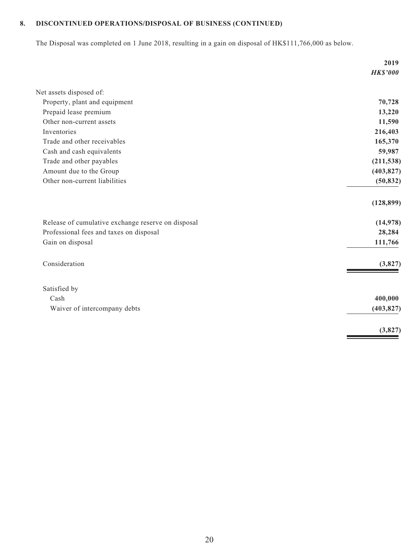## **8. DISCONTINUED OPERATIONS/DISPOSAL OF BUSINESS (CONTINUED)**

The Disposal was completed on 1 June 2018, resulting in a gain on disposal of HK\$111,766,000 as below.

|                                                    | 2019            |
|----------------------------------------------------|-----------------|
|                                                    | <b>HK\$'000</b> |
| Net assets disposed of:                            |                 |
| Property, plant and equipment                      | 70,728          |
| Prepaid lease premium                              | 13,220          |
| Other non-current assets                           | 11,590          |
| Inventories                                        | 216,403         |
| Trade and other receivables                        | 165,370         |
| Cash and cash equivalents                          | 59,987          |
| Trade and other payables                           | (211, 538)      |
| Amount due to the Group                            | (403, 827)      |
| Other non-current liabilities                      | (50, 832)       |
|                                                    | (128, 899)      |
| Release of cumulative exchange reserve on disposal | (14, 978)       |
| Professional fees and taxes on disposal            | 28,284          |
| Gain on disposal                                   | 111,766         |
| Consideration                                      | (3,827)         |
| Satisfied by                                       |                 |
| Cash                                               | 400,000         |
| Waiver of intercompany debts                       | (403, 827)      |
|                                                    | (3,827)         |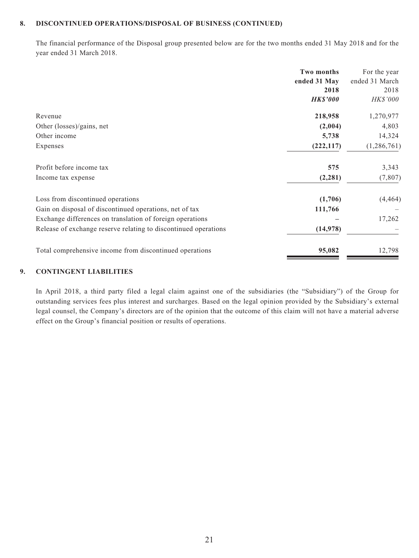#### **8. DISCONTINUED OPERATIONS/DISPOSAL OF BUSINESS (CONTINUED)**

The financial performance of the Disposal group presented below are for the two months ended 31 May 2018 and for the year ended 31 March 2018.

|                                                                 | <b>Two months</b> | For the year   |
|-----------------------------------------------------------------|-------------------|----------------|
|                                                                 | ended 31 May      | ended 31 March |
|                                                                 | 2018              | 2018           |
|                                                                 | <b>HK\$'000</b>   | HK\$'000       |
| Revenue                                                         | 218,958           | 1,270,977      |
| Other (losses)/gains, net                                       | (2,004)           | 4,803          |
| Other income                                                    | 5,738             | 14,324         |
| Expenses                                                        | (222, 117)        | (1,286,761)    |
| Profit before income tax                                        | 575               | 3,343          |
| Income tax expense                                              | (2, 281)          | (7, 807)       |
| Loss from discontinued operations                               | (1,706)           | (4, 464)       |
| Gain on disposal of discontinued operations, net of tax         | 111,766           |                |
| Exchange differences on translation of foreign operations       |                   | 17,262         |
| Release of exchange reserve relating to discontinued operations | (14,978)          |                |
| Total comprehensive income from discontinued operations         | 95,082            | 12,798         |

#### **9. CONTINGENT LIABILITIES**

In April 2018, a third party filed a legal claim against one of the subsidiaries (the "Subsidiary") of the Group for outstanding services fees plus interest and surcharges. Based on the legal opinion provided by the Subsidiary's external legal counsel, the Company's directors are of the opinion that the outcome of this claim will not have a material adverse effect on the Group's financial position or results of operations.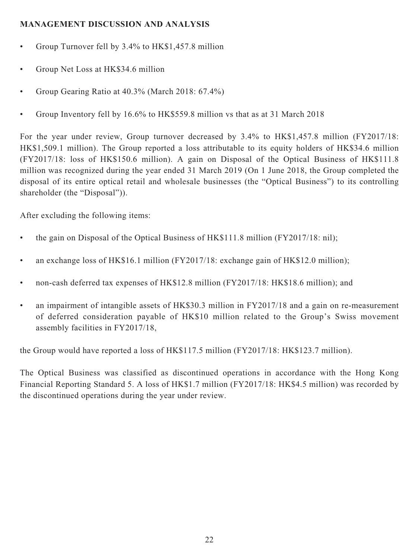## **MANAGEMENT DISCUSSION AND ANALYSIS**

- Group Turnover fell by 3.4% to HK\$1,457.8 million
- Group Net Loss at HK\$34.6 million
- Group Gearing Ratio at 40.3% (March 2018: 67.4%)
- Group Inventory fell by 16.6% to HK\$559.8 million vs that as at 31 March 2018

For the year under review, Group turnover decreased by 3.4% to HK\$1,457.8 million (FY2017/18: HK\$1,509.1 million). The Group reported a loss attributable to its equity holders of HK\$34.6 million (FY2017/18: loss of HK\$150.6 million). A gain on Disposal of the Optical Business of HK\$111.8 million was recognized during the year ended 31 March 2019 (On 1 June 2018, the Group completed the disposal of its entire optical retail and wholesale businesses (the "Optical Business") to its controlling shareholder (the "Disposal")).

After excluding the following items:

- the gain on Disposal of the Optical Business of HK\$111.8 million (FY2017/18: nil);
- an exchange loss of HK\$16.1 million (FY2017/18: exchange gain of HK\$12.0 million);
- non-cash deferred tax expenses of HK\$12.8 million (FY2017/18: HK\$18.6 million); and
- an impairment of intangible assets of HK\$30.3 million in FY2017/18 and a gain on re-measurement of deferred consideration payable of HK\$10 million related to the Group's Swiss movement assembly facilities in FY2017/18,

the Group would have reported a loss of HK\$117.5 million (FY2017/18: HK\$123.7 million).

The Optical Business was classified as discontinued operations in accordance with the Hong Kong Financial Reporting Standard 5. A loss of HK\$1.7 million (FY2017/18: HK\$4.5 million) was recorded by the discontinued operations during the year under review.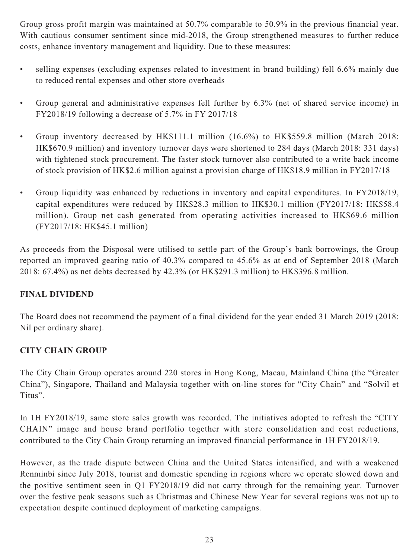Group gross profit margin was maintained at 50.7% comparable to 50.9% in the previous financial year. With cautious consumer sentiment since mid-2018, the Group strengthened measures to further reduce costs, enhance inventory management and liquidity. Due to these measures:–

- selling expenses (excluding expenses related to investment in brand building) fell 6.6% mainly due to reduced rental expenses and other store overheads
- Group general and administrative expenses fell further by 6.3% (net of shared service income) in FY2018/19 following a decrease of 5.7% in FY 2017/18
- Group inventory decreased by HK\$111.1 million (16.6%) to HK\$559.8 million (March 2018: HK\$670.9 million) and inventory turnover days were shortened to 284 days (March 2018: 331 days) with tightened stock procurement. The faster stock turnover also contributed to a write back income of stock provision of HK\$2.6 million against a provision charge of HK\$18.9 million in FY2017/18
- Group liquidity was enhanced by reductions in inventory and capital expenditures. In FY2018/19, capital expenditures were reduced by HK\$28.3 million to HK\$30.1 million (FY2017/18: HK\$58.4 million). Group net cash generated from operating activities increased to HK\$69.6 million (FY2017/18: HK\$45.1 million)

As proceeds from the Disposal were utilised to settle part of the Group's bank borrowings, the Group reported an improved gearing ratio of 40.3% compared to 45.6% as at end of September 2018 (March 2018: 67.4%) as net debts decreased by 42.3% (or HK\$291.3 million) to HK\$396.8 million.

## **FINAL DIVIDEND**

The Board does not recommend the payment of a final dividend for the year ended 31 March 2019 (2018: Nil per ordinary share).

## **CITY CHAIN GROUP**

The City Chain Group operates around 220 stores in Hong Kong, Macau, Mainland China (the "Greater China"), Singapore, Thailand and Malaysia together with on-line stores for "City Chain" and "Solvil et Titus".

In 1H FY2018/19, same store sales growth was recorded. The initiatives adopted to refresh the "CITY CHAIN" image and house brand portfolio together with store consolidation and cost reductions, contributed to the City Chain Group returning an improved financial performance in 1H FY2018/19.

However, as the trade dispute between China and the United States intensified, and with a weakened Renminbi since July 2018, tourist and domestic spending in regions where we operate slowed down and the positive sentiment seen in Q1 FY2018/19 did not carry through for the remaining year. Turnover over the festive peak seasons such as Christmas and Chinese New Year for several regions was not up to expectation despite continued deployment of marketing campaigns.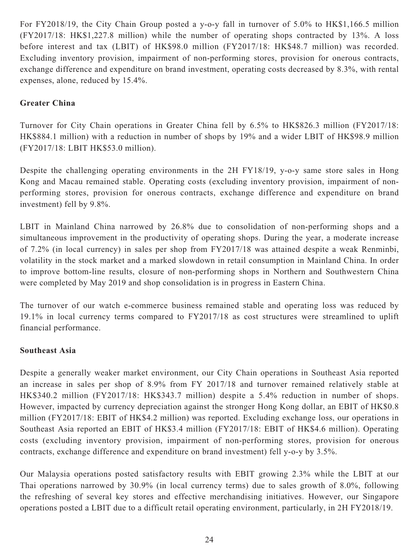For FY2018/19, the City Chain Group posted a y-o-y fall in turnover of 5.0% to HK\$1,166.5 million (FY2017/18: HK\$1,227.8 million) while the number of operating shops contracted by 13%. A loss before interest and tax (LBIT) of HK\$98.0 million (FY2017/18: HK\$48.7 million) was recorded. Excluding inventory provision, impairment of non-performing stores, provision for onerous contracts, exchange difference and expenditure on brand investment, operating costs decreased by 8.3%, with rental expenses, alone, reduced by 15.4%.

## **Greater China**

Turnover for City Chain operations in Greater China fell by 6.5% to HK\$826.3 million (FY2017/18: HK\$884.1 million) with a reduction in number of shops by 19% and a wider LBIT of HK\$98.9 million (FY2017/18: LBIT HK\$53.0 million).

Despite the challenging operating environments in the 2H FY18/19, y-o-y same store sales in Hong Kong and Macau remained stable. Operating costs (excluding inventory provision, impairment of nonperforming stores, provision for onerous contracts, exchange difference and expenditure on brand investment) fell by 9.8%.

LBIT in Mainland China narrowed by 26.8% due to consolidation of non-performing shops and a simultaneous improvement in the productivity of operating shops. During the year, a moderate increase of 7.2% (in local currency) in sales per shop from FY2017/18 was attained despite a weak Renminbi, volatility in the stock market and a marked slowdown in retail consumption in Mainland China. In order to improve bottom-line results, closure of non-performing shops in Northern and Southwestern China were completed by May 2019 and shop consolidation is in progress in Eastern China.

The turnover of our watch e-commerce business remained stable and operating loss was reduced by 19.1% in local currency terms compared to FY2017/18 as cost structures were streamlined to uplift financial performance.

### **Southeast Asia**

Despite a generally weaker market environment, our City Chain operations in Southeast Asia reported an increase in sales per shop of 8.9% from FY 2017/18 and turnover remained relatively stable at HK\$340.2 million (FY2017/18: HK\$343.7 million) despite a 5.4% reduction in number of shops. However, impacted by currency depreciation against the stronger Hong Kong dollar, an EBIT of HK\$0.8 million (FY2017/18: EBIT of HK\$4.2 million) was reported. Excluding exchange loss, our operations in Southeast Asia reported an EBIT of HK\$3.4 million (FY2017/18: EBIT of HK\$4.6 million). Operating costs (excluding inventory provision, impairment of non-performing stores, provision for onerous contracts, exchange difference and expenditure on brand investment) fell y-o-y by 3.5%.

Our Malaysia operations posted satisfactory results with EBIT growing 2.3% while the LBIT at our Thai operations narrowed by 30.9% (in local currency terms) due to sales growth of 8.0%, following the refreshing of several key stores and effective merchandising initiatives. However, our Singapore operations posted a LBIT due to a difficult retail operating environment, particularly, in 2H FY2018/19.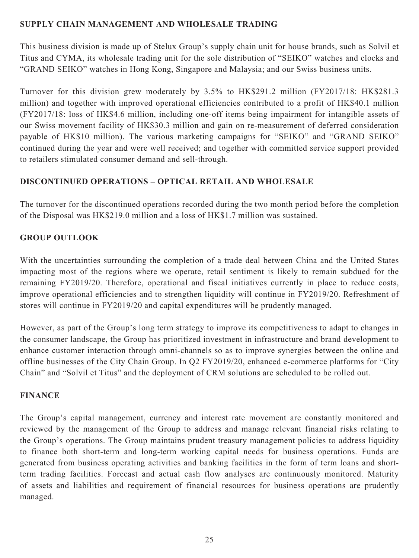## **SUPPLY CHAIN MANAGEMENT AND WHOLESALE TRADING**

This business division is made up of Stelux Group's supply chain unit for house brands, such as Solvil et Titus and CYMA, its wholesale trading unit for the sole distribution of "SEIKO" watches and clocks and "GRAND SEIKO" watches in Hong Kong, Singapore and Malaysia; and our Swiss business units.

Turnover for this division grew moderately by 3.5% to HK\$291.2 million (FY2017/18: HK\$281.3 million) and together with improved operational efficiencies contributed to a profit of HK\$40.1 million (FY2017/18: loss of HK\$4.6 million, including one-off items being impairment for intangible assets of our Swiss movement facility of HK\$30.3 million and gain on re-measurement of deferred consideration payable of HK\$10 million). The various marketing campaigns for "SEIKO" and "GRAND SEIKO" continued during the year and were well received; and together with committed service support provided to retailers stimulated consumer demand and sell-through.

## **DISCONTINUED OPERATIONS – OPTICAL RETAIL AND WHOLESALE**

The turnover for the discontinued operations recorded during the two month period before the completion of the Disposal was HK\$219.0 million and a loss of HK\$1.7 million was sustained.

## **GROUP OUTLOOK**

With the uncertainties surrounding the completion of a trade deal between China and the United States impacting most of the regions where we operate, retail sentiment is likely to remain subdued for the remaining FY2019/20. Therefore, operational and fiscal initiatives currently in place to reduce costs, improve operational efficiencies and to strengthen liquidity will continue in FY2019/20. Refreshment of stores will continue in FY2019/20 and capital expenditures will be prudently managed.

However, as part of the Group's long term strategy to improve its competitiveness to adapt to changes in the consumer landscape, the Group has prioritized investment in infrastructure and brand development to enhance customer interaction through omni-channels so as to improve synergies between the online and offline businesses of the City Chain Group. In Q2 FY2019/20, enhanced e-commerce platforms for "City Chain" and "Solvil et Titus" and the deployment of CRM solutions are scheduled to be rolled out.

### **FINANCE**

The Group's capital management, currency and interest rate movement are constantly monitored and reviewed by the management of the Group to address and manage relevant financial risks relating to the Group's operations. The Group maintains prudent treasury management policies to address liquidity to finance both short-term and long-term working capital needs for business operations. Funds are generated from business operating activities and banking facilities in the form of term loans and shortterm trading facilities. Forecast and actual cash flow analyses are continuously monitored. Maturity of assets and liabilities and requirement of financial resources for business operations are prudently managed.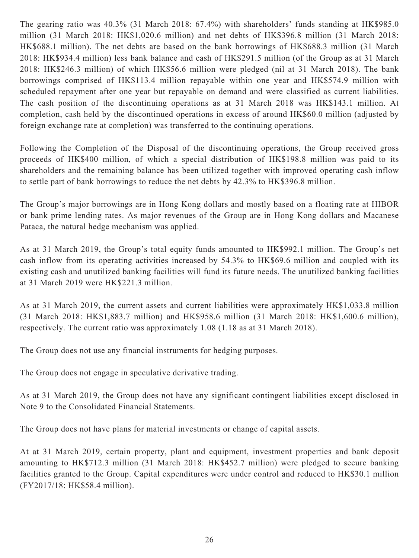The gearing ratio was 40.3% (31 March 2018: 67.4%) with shareholders' funds standing at HK\$985.0 million (31 March 2018: HK\$1,020.6 million) and net debts of HK\$396.8 million (31 March 2018: HK\$688.1 million). The net debts are based on the bank borrowings of HK\$688.3 million (31 March 2018: HK\$934.4 million) less bank balance and cash of HK\$291.5 million (of the Group as at 31 March 2018: HK\$246.3 million) of which HK\$56.6 million were pledged (nil at 31 March 2018). The bank borrowings comprised of HK\$113.4 million repayable within one year and HK\$574.9 million with scheduled repayment after one year but repayable on demand and were classified as current liabilities. The cash position of the discontinuing operations as at 31 March 2018 was HK\$143.1 million. At completion, cash held by the discontinued operations in excess of around HK\$60.0 million (adjusted by foreign exchange rate at completion) was transferred to the continuing operations.

Following the Completion of the Disposal of the discontinuing operations, the Group received gross proceeds of HK\$400 million, of which a special distribution of HK\$198.8 million was paid to its shareholders and the remaining balance has been utilized together with improved operating cash inflow to settle part of bank borrowings to reduce the net debts by 42.3% to HK\$396.8 million.

The Group's major borrowings are in Hong Kong dollars and mostly based on a floating rate at HIBOR or bank prime lending rates. As major revenues of the Group are in Hong Kong dollars and Macanese Pataca, the natural hedge mechanism was applied.

As at 31 March 2019, the Group's total equity funds amounted to HK\$992.1 million. The Group's net cash inflow from its operating activities increased by 54.3% to HK\$69.6 million and coupled with its existing cash and unutilized banking facilities will fund its future needs. The unutilized banking facilities at 31 March 2019 were HK\$221.3 million.

As at 31 March 2019, the current assets and current liabilities were approximately HK\$1,033.8 million (31 March 2018: HK\$1,883.7 million) and HK\$958.6 million (31 March 2018: HK\$1,600.6 million), respectively. The current ratio was approximately 1.08 (1.18 as at 31 March 2018).

The Group does not use any financial instruments for hedging purposes.

The Group does not engage in speculative derivative trading.

As at 31 March 2019, the Group does not have any significant contingent liabilities except disclosed in Note 9 to the Consolidated Financial Statements.

The Group does not have plans for material investments or change of capital assets.

At at 31 March 2019, certain property, plant and equipment, investment properties and bank deposit amounting to HK\$712.3 million (31 March 2018: HK\$452.7 million) were pledged to secure banking facilities granted to the Group. Capital expenditures were under control and reduced to HK\$30.1 million (FY2017/18: HK\$58.4 million).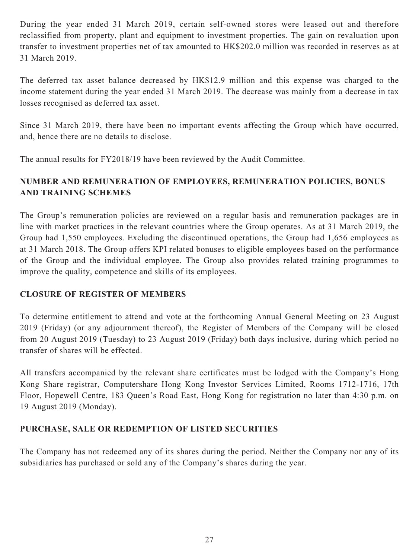During the year ended 31 March 2019, certain self-owned stores were leased out and therefore reclassified from property, plant and equipment to investment properties. The gain on revaluation upon transfer to investment properties net of tax amounted to HK\$202.0 million was recorded in reserves as at 31 March 2019.

The deferred tax asset balance decreased by HK\$12.9 million and this expense was charged to the income statement during the year ended 31 March 2019. The decrease was mainly from a decrease in tax losses recognised as deferred tax asset.

Since 31 March 2019, there have been no important events affecting the Group which have occurred, and, hence there are no details to disclose.

The annual results for FY2018/19 have been reviewed by the Audit Committee.

## **NUMBER AND REMUNERATION OF EMPLOYEES, REMUNERATION POLICIES, BONUS AND TRAINING SCHEMES**

The Group's remuneration policies are reviewed on a regular basis and remuneration packages are in line with market practices in the relevant countries where the Group operates. As at 31 March 2019, the Group had 1,550 employees. Excluding the discontinued operations, the Group had 1,656 employees as at 31 March 2018. The Group offers KPI related bonuses to eligible employees based on the performance of the Group and the individual employee. The Group also provides related training programmes to improve the quality, competence and skills of its employees.

## **CLOSURE OF REGISTER OF MEMBERS**

To determine entitlement to attend and vote at the forthcoming Annual General Meeting on 23 August 2019 (Friday) (or any adjournment thereof), the Register of Members of the Company will be closed from 20 August 2019 (Tuesday) to 23 August 2019 (Friday) both days inclusive, during which period no transfer of shares will be effected.

All transfers accompanied by the relevant share certificates must be lodged with the Company's Hong Kong Share registrar, Computershare Hong Kong Investor Services Limited, Rooms 1712-1716, 17th Floor, Hopewell Centre, 183 Queen's Road East, Hong Kong for registration no later than 4:30 p.m. on 19 August 2019 (Monday).

## **PURCHASE, SALE OR REDEMPTION OF LISTED SECURITIES**

The Company has not redeemed any of its shares during the period. Neither the Company nor any of its subsidiaries has purchased or sold any of the Company's shares during the year.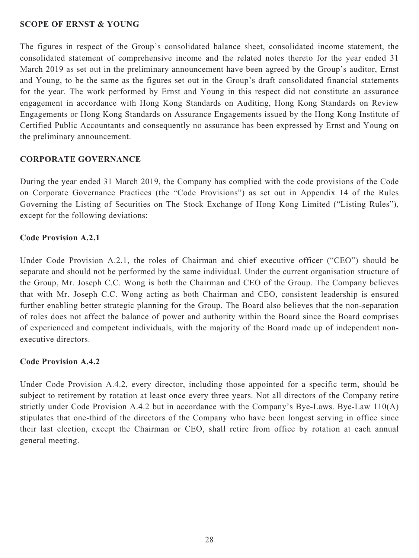### **SCOPE OF ERNST & YOUNG**

The figures in respect of the Group's consolidated balance sheet, consolidated income statement, the consolidated statement of comprehensive income and the related notes thereto for the year ended 31 March 2019 as set out in the preliminary announcement have been agreed by the Group's auditor, Ernst and Young, to be the same as the figures set out in the Group's draft consolidated financial statements for the year. The work performed by Ernst and Young in this respect did not constitute an assurance engagement in accordance with Hong Kong Standards on Auditing, Hong Kong Standards on Review Engagements or Hong Kong Standards on Assurance Engagements issued by the Hong Kong Institute of Certified Public Accountants and consequently no assurance has been expressed by Ernst and Young on the preliminary announcement.

### **CORPORATE GOVERNANCE**

During the year ended 31 March 2019, the Company has complied with the code provisions of the Code on Corporate Governance Practices (the "Code Provisions") as set out in Appendix 14 of the Rules Governing the Listing of Securities on The Stock Exchange of Hong Kong Limited ("Listing Rules"), except for the following deviations:

### **Code Provision A.2.1**

Under Code Provision A.2.1, the roles of Chairman and chief executive officer ("CEO") should be separate and should not be performed by the same individual. Under the current organisation structure of the Group, Mr. Joseph C.C. Wong is both the Chairman and CEO of the Group. The Company believes that with Mr. Joseph C.C. Wong acting as both Chairman and CEO, consistent leadership is ensured further enabling better strategic planning for the Group. The Board also believes that the non-separation of roles does not affect the balance of power and authority within the Board since the Board comprises of experienced and competent individuals, with the majority of the Board made up of independent nonexecutive directors.

### **Code Provision A.4.2**

Under Code Provision A.4.2, every director, including those appointed for a specific term, should be subject to retirement by rotation at least once every three years. Not all directors of the Company retire strictly under Code Provision A.4.2 but in accordance with the Company's Bye-Laws. Bye-Law 110(A) stipulates that one-third of the directors of the Company who have been longest serving in office since their last election, except the Chairman or CEO, shall retire from office by rotation at each annual general meeting.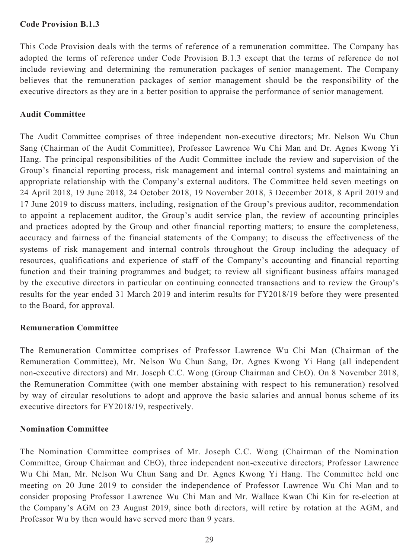### **Code Provision B.1.3**

This Code Provision deals with the terms of reference of a remuneration committee. The Company has adopted the terms of reference under Code Provision B.1.3 except that the terms of reference do not include reviewing and determining the remuneration packages of senior management. The Company believes that the remuneration packages of senior management should be the responsibility of the executive directors as they are in a better position to appraise the performance of senior management.

### **Audit Committee**

The Audit Committee comprises of three independent non-executive directors; Mr. Nelson Wu Chun Sang (Chairman of the Audit Committee), Professor Lawrence Wu Chi Man and Dr. Agnes Kwong Yi Hang. The principal responsibilities of the Audit Committee include the review and supervision of the Group's financial reporting process, risk management and internal control systems and maintaining an appropriate relationship with the Company's external auditors. The Committee held seven meetings on 24 April 2018, 19 June 2018, 24 October 2018, 19 November 2018, 3 December 2018, 8 April 2019 and 17 June 2019 to discuss matters, including, resignation of the Group's previous auditor, recommendation to appoint a replacement auditor, the Group's audit service plan, the review of accounting principles and practices adopted by the Group and other financial reporting matters; to ensure the completeness, accuracy and fairness of the financial statements of the Company; to discuss the effectiveness of the systems of risk management and internal controls throughout the Group including the adequacy of resources, qualifications and experience of staff of the Company's accounting and financial reporting function and their training programmes and budget; to review all significant business affairs managed by the executive directors in particular on continuing connected transactions and to review the Group's results for the year ended 31 March 2019 and interim results for FY2018/19 before they were presented to the Board, for approval.

### **Remuneration Committee**

The Remuneration Committee comprises of Professor Lawrence Wu Chi Man (Chairman of the Remuneration Committee), Mr. Nelson Wu Chun Sang, Dr. Agnes Kwong Yi Hang (all independent non-executive directors) and Mr. Joseph C.C. Wong (Group Chairman and CEO). On 8 November 2018, the Remuneration Committee (with one member abstaining with respect to his remuneration) resolved by way of circular resolutions to adopt and approve the basic salaries and annual bonus scheme of its executive directors for FY2018/19, respectively.

### **Nomination Committee**

The Nomination Committee comprises of Mr. Joseph C.C. Wong (Chairman of the Nomination Committee, Group Chairman and CEO), three independent non-executive directors; Professor Lawrence Wu Chi Man, Mr. Nelson Wu Chun Sang and Dr. Agnes Kwong Yi Hang. The Committee held one meeting on 20 June 2019 to consider the independence of Professor Lawrence Wu Chi Man and to consider proposing Professor Lawrence Wu Chi Man and Mr. Wallace Kwan Chi Kin for re-election at the Company's AGM on 23 August 2019, since both directors, will retire by rotation at the AGM, and Professor Wu by then would have served more than 9 years.